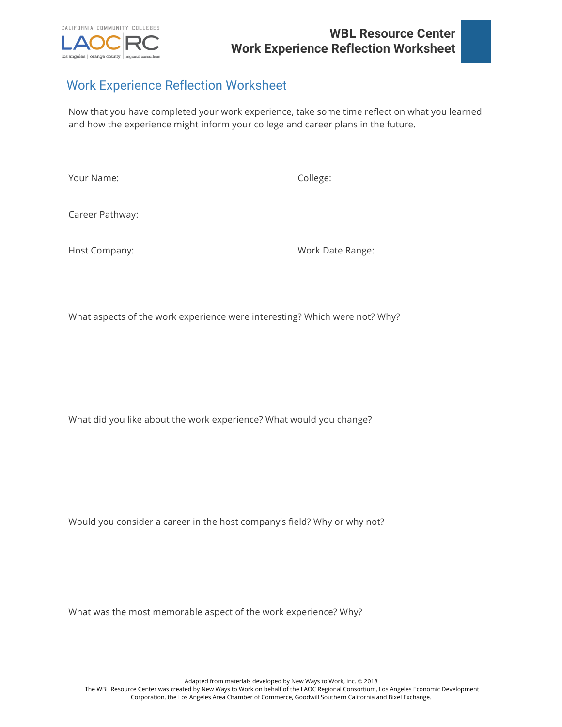

## Work Experience Reflection Worksheet

Now that you have completed your work experience, take some time reflect on what you learned and how the experience might inform your college and career plans in the future.

Your Name: College:

Career Pathway:

Host Company: Work Date Range:

What aspects of the work experience were interesting? Which were not? Why?

What did you like about the work experience? What would you change?

Would you consider a career in the host company's field? Why or why not?

What was the most memorable aspect of the work experience? Why?